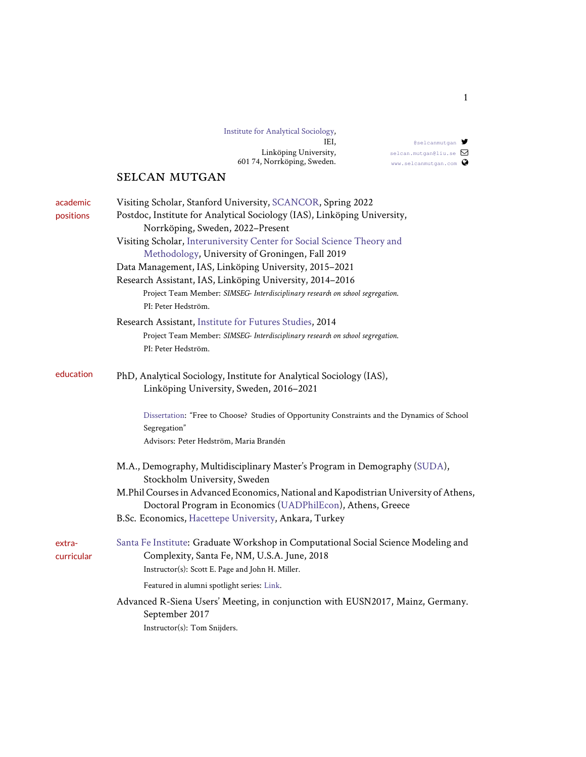| Institute for Analytical Sociology, |
|-------------------------------------|
| IEI.                                |
| Linköping University,               |
| 601 74, Norrköping, Sweden.         |

## selcan mutgan

| academic<br>positions | Visiting Scholar, Stanford University, SCANCOR, Spring 2022<br>Postdoc, Institute for Analytical Sociology (IAS), Linköping University,<br>Norrköping, Sweden, 2022-Present<br>Visiting Scholar, Interuniversity Center for Social Science Theory and<br>Methodology, University of Groningen, Fall 2019<br>Data Management, IAS, Linköping University, 2015-2021<br>Research Assistant, IAS, Linköping University, 2014-2016<br>Project Team Member: SIMSEG- Interdisciplinary research on school segregation.<br>PI: Peter Hedström. |
|-----------------------|----------------------------------------------------------------------------------------------------------------------------------------------------------------------------------------------------------------------------------------------------------------------------------------------------------------------------------------------------------------------------------------------------------------------------------------------------------------------------------------------------------------------------------------|
|                       | Research Assistant, Institute for Futures Studies, 2014<br>Project Team Member: SIMSEG- Interdisciplinary researd on school segregation.<br>PI: Peter Hedström.                                                                                                                                                                                                                                                                                                                                                                        |
| education             | PhD, Analytical Sociology, Institute for Analytical Sociology (IAS),<br>Linköping University, Sweden, 2016-2021                                                                                                                                                                                                                                                                                                                                                                                                                        |
|                       | Dissertation: "Free to Choose? Studies of Opportunity Constraints and the Dynamics of School<br>Segregation"<br>Advisors: Peter Hedström, Maria Brandén                                                                                                                                                                                                                                                                                                                                                                                |
|                       | M.A., Demography, Multidisciplinary Master's Program in Demography (SUDA),<br>Stockholm University, Sweden<br>M.Phil Courses in Advanced Economics, National and Kapodistrian University of Athens,<br>Doctoral Program in Economics (UADPhilEcon), Athens, Greece<br>B.Sc. Economics, Hacettepe University, Ankara, Turkey                                                                                                                                                                                                            |
| extra-<br>curricular  | Santa Fe Institute: Graduate Workshop in Computational Social Science Modeling and<br>Complexity, Santa Fe, NM, U.S.A. June, 2018<br>Instructor(s): Scott E. Page and John H. Miller.                                                                                                                                                                                                                                                                                                                                                  |
|                       | Featured in alumni spotlight series: Link.<br>Advanced R-Siena Users' Meeting, in conjunction with EUSN2017, Mainz, Germany.<br>September 2017<br>Instructor(s): Tom Snijders.                                                                                                                                                                                                                                                                                                                                                         |

[@selcanmutgan](http://twitter.com/selcanmutgan) [selcan.mutgan@liu.se](mailto:selcan.mutgan@liu.se)  $\Box$ <www.selcanmutgan.com>  $\bullet$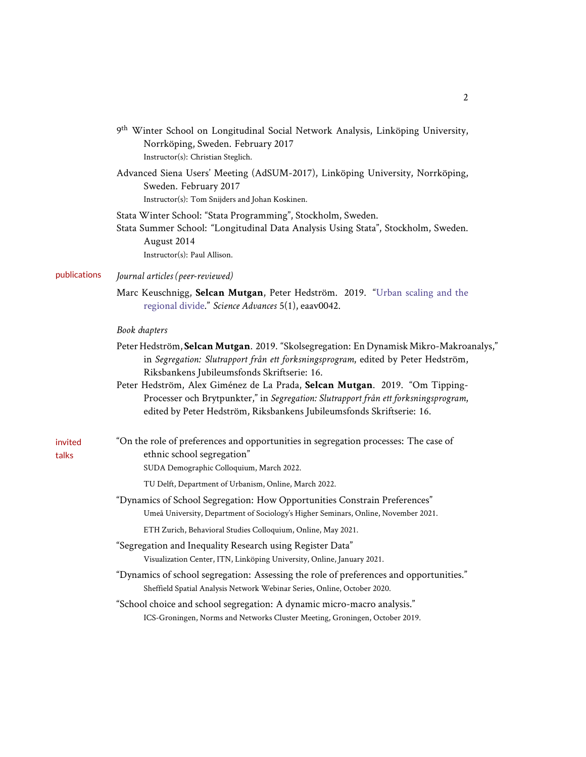|                  | 9 <sup>th</sup> Winter School on Longitudinal Social Network Analysis, Linköping University,<br>Norrköping, Sweden. February 2017<br>Instructor(s): Christian Steglich.                                                                     |
|------------------|---------------------------------------------------------------------------------------------------------------------------------------------------------------------------------------------------------------------------------------------|
|                  | Advanced Siena Users' Meeting (AdSUM-2017), Linköping University, Norrköping,<br>Sweden. February 2017<br>Instructor(s): Tom Snijders and Johan Koskinen.                                                                                   |
|                  | Stata Winter School: "Stata Programming", Stockholm, Sweden.<br>Stata Summer School: "Longitudinal Data Analysis Using Stata", Stockholm, Sweden.<br>August 2014<br>Instructor(s): Paul Allison.                                            |
| publications     | Journal articles (peer-reviewed)                                                                                                                                                                                                            |
|                  | Marc Keuschnigg, Selcan Mutgan, Peter Hedström. 2019. "Urban scaling and the<br>regional divide." Science Advances 5(1), eaav0042.                                                                                                          |
|                  | Book chapters                                                                                                                                                                                                                               |
|                  | Peter Hedström, Selcan Mutgan. 2019. "Skolsegregation: En Dynamisk Mikro-Makroanalys,"<br>in Segregation: Slutrapport från ett forksningsprogram, edited by Peter Hedström,<br>Riksbankens Jubileumsfonds Skriftserie: 16.                  |
|                  | Peter Hedström, Alex Giménez de La Prada, Selcan Mutgan. 2019. "Om Tipping-<br>Processer och Brytpunkter," in Segregation: Slutrapport från ett forksningsprogram,<br>edited by Peter Hedström, Riksbankens Jubileumsfonds Skriftserie: 16. |
| invited<br>talks | "On the role of preferences and opportunities in segregation processes: The case of<br>ethnic school segregation"<br>SUDA Demographic Colloquium, March 2022.                                                                               |
|                  | TU Delft, Department of Urbanism, Online, March 2022.                                                                                                                                                                                       |
|                  | "Dynamics of School Segregation: How Opportunities Constrain Preferences"<br>Umeå University, Department of Sociology's Higher Seminars, Online, November 2021.                                                                             |
|                  | ETH Zurich, Behavioral Studies Colloquium, Online, May 2021.                                                                                                                                                                                |
|                  | "Segregation and Inequality Research using Register Data"<br>Visualization Center, ITN, Linköping University, Online, January 2021.                                                                                                         |
|                  | "Dynamics of school segregation: Assessing the role of preferences and opportunities."<br>Sheffield Spatial Analysis Network Webinar Series, Online, October 2020.                                                                          |
|                  | "School choice and school segregation: A dynamic micro-macro analysis."<br>ICS-Groningen, Norms and Networks Cluster Meeting, Groningen, October 2019.                                                                                      |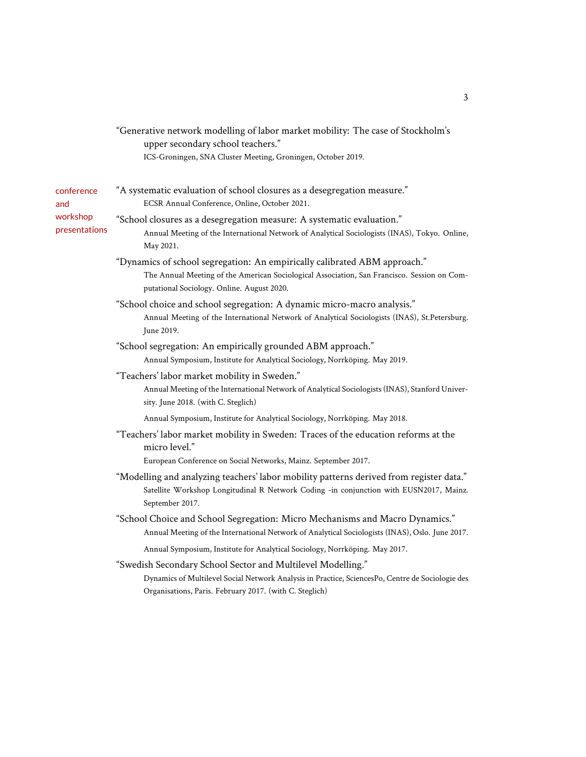"Generative network modelling of labor market mobility: The case of Stockholm's upper secondary school teachers."

ICS-Groningen, SNA Cluster Meeting, Groningen, October 2019.

| conference<br>and         | "A systematic evaluation of school closures as a desegregation measure."<br>ECSR Annual Conference, Online, October 2021.                                                                                                  |
|---------------------------|----------------------------------------------------------------------------------------------------------------------------------------------------------------------------------------------------------------------------|
| workshop<br>presentations | "School closures as a desegregation measure: A systematic evaluation."<br>Annual Meeting of the International Network of Analytical Sociologists (INAS), Tokyo. Online,<br>May 2021.                                       |
|                           | "Dynamics of school segregation: An empirically calibrated ABM approach."<br>The Annual Meeting of the American Sociological Association, San Francisco. Session on Com-<br>putational Sociology. Online. August 2020.     |
|                           | "School choice and school segregation: A dynamic micro-macro analysis."<br>Annual Meeting of the International Network of Analytical Sociologists (INAS), St.Petersburg.<br>June 2019.                                     |
|                           | "School segregation: An empirically grounded ABM approach."<br>Annual Symposium, Institute for Analytical Sociology, Norrköping. May 2019.                                                                                 |
|                           | "Teachers' labor market mobility in Sweden."<br>Annual Meeting of the International Network of Analytical Sociologists (INAS), Stanford Univer-<br>sity. June 2018. (with C. Steglich)                                     |
|                           | Annual Symposium, Institute for Analytical Sociology, Norrköping. May 2018.                                                                                                                                                |
|                           | "Teachers' labor market mobility in Sweden: Traces of the education reforms at the<br>micro level."                                                                                                                        |
|                           | European Conference on Social Networks, Mainz. September 2017.                                                                                                                                                             |
|                           | "Modelling and analyzing teachers' labor mobility patterns derived from register data."<br>Satellite Workshop Longitudinal R Network Coding -in conjunction with EUSN2017, Mainz.<br>September 2017.                       |
|                           | "School Choice and School Segregation: Micro Mechanisms and Macro Dynamics."<br>Annual Meeting of the International Network of Analytical Sociologists (INAS), Oslo. June 2017.                                            |
|                           | Annual Symposium, Institute for Analytical Sociology, Norrköping. May 2017.                                                                                                                                                |
|                           | "Swedish Secondary School Sector and Multilevel Modelling."<br>Dynamics of Multilevel Social Network Analysis in Practice, SciencesPo, Centre de Sociologie des<br>Organisations, Paris. February 2017. (with C. Steglich) |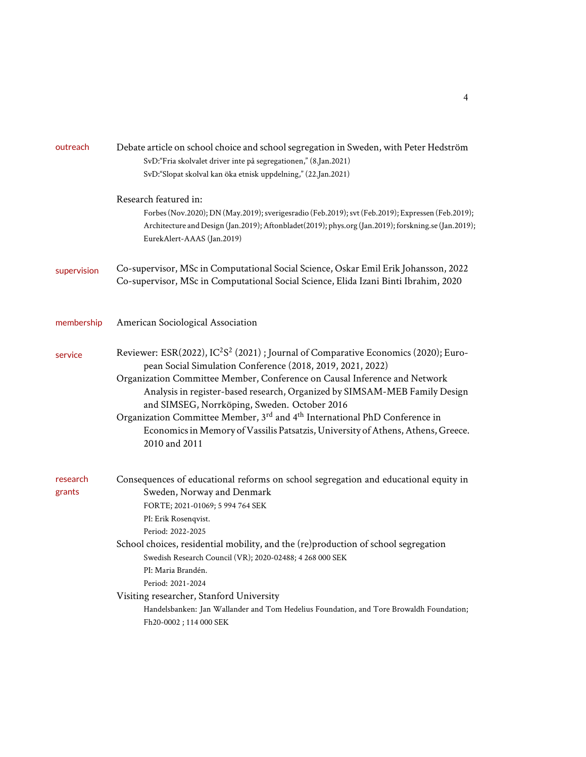| Debate article on school choice and school segregation in Sweden, with Peter Hedström<br>SvD: "Fria skolvalet driver inte på segregationen," (8.Jan.2021)<br>SvD: "Slopat skolval kan öka etnisk uppdelning," (22.Jan.2021)                                                                                                                                                                                                                                                                                                                                                                    |
|------------------------------------------------------------------------------------------------------------------------------------------------------------------------------------------------------------------------------------------------------------------------------------------------------------------------------------------------------------------------------------------------------------------------------------------------------------------------------------------------------------------------------------------------------------------------------------------------|
| Research featured in:<br>Forbes (Nov.2020); DN (May.2019); sverigesradio (Feb.2019); svt (Feb.2019); Expressen (Feb.2019);<br>Architecture and Design (Jan.2019); Aftonbladet(2019); phys.org (Jan.2019); forskning.se (Jan.2019);<br>EurekAlert-AAAS (Jan.2019)                                                                                                                                                                                                                                                                                                                               |
| Co-supervisor, MSc in Computational Social Science, Oskar Emil Erik Johansson, 2022<br>Co-supervisor, MSc in Computational Social Science, Elida Izani Binti Ibrahim, 2020                                                                                                                                                                                                                                                                                                                                                                                                                     |
| American Sociological Association                                                                                                                                                                                                                                                                                                                                                                                                                                                                                                                                                              |
| Reviewer: ESR(2022), IC <sup>2</sup> S <sup>2</sup> (2021); Journal of Comparative Economics (2020); Euro-<br>pean Social Simulation Conference (2018, 2019, 2021, 2022)<br>Organization Committee Member, Conference on Causal Inference and Network<br>Analysis in register-based research, Organized by SIMSAM-MEB Family Design<br>and SIMSEG, Norrköping, Sweden. October 2016<br>Organization Committee Member, 3 <sup>rd</sup> and 4 <sup>th</sup> International PhD Conference in<br>Economics in Memory of Vassilis Patsatzis, University of Athens, Athens, Greece.<br>2010 and 2011 |
| Consequences of educational reforms on school segregation and educational equity in<br>Sweden, Norway and Denmark<br>FORTE; 2021-01069; 5 994 764 SEK<br>PI: Erik Rosenqvist.<br>Period: 2022-2025<br>School choices, residential mobility, and the (re)production of school segregation<br>Swedish Research Council (VR); 2020-02488; 4 268 000 SEK<br>PI: Maria Brandén.<br>Period: 2021-2024<br>Visiting researcher, Stanford University<br>Handelsbanken: Jan Wallander and Tom Hedelius Foundation, and Tore Browaldh Foundation;<br>Fh20-0002; 114 000 SEK                               |
|                                                                                                                                                                                                                                                                                                                                                                                                                                                                                                                                                                                                |